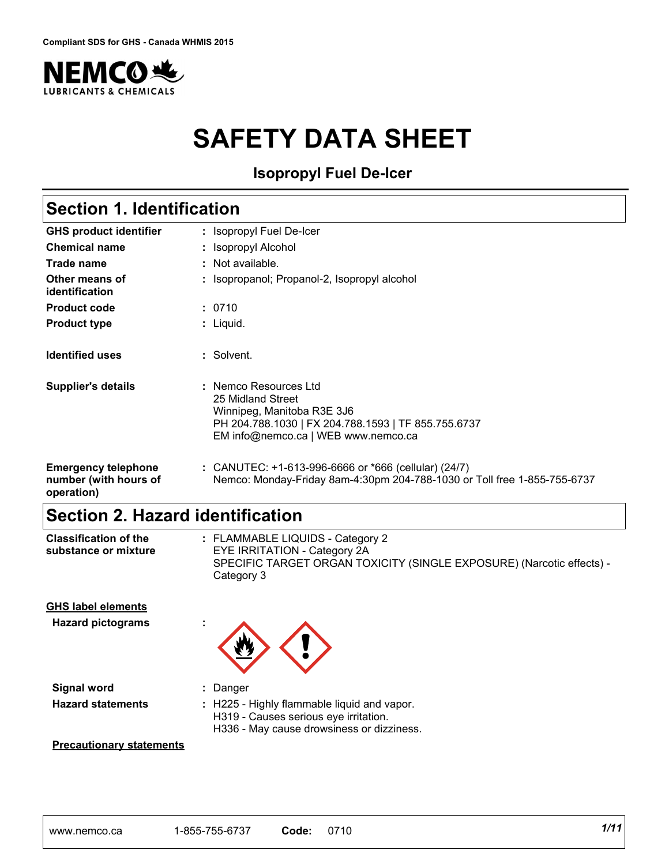

# **SAFETY DATA SHEET**

**Isopropyl Fuel De-Icer**

# **Section 1. Identification**

| <b>GHS product identifier</b>                                     | : Isopropyl Fuel De-Icer                                                                                                                                               |  |  |
|-------------------------------------------------------------------|------------------------------------------------------------------------------------------------------------------------------------------------------------------------|--|--|
| <b>Chemical name</b>                                              | : Isopropyl Alcohol                                                                                                                                                    |  |  |
| <b>Trade name</b>                                                 | $\therefore$ Not available.                                                                                                                                            |  |  |
| Other means of<br>identification                                  | : Isopropanol; Propanol-2, Isopropyl alcohol                                                                                                                           |  |  |
| <b>Product code</b>                                               | : 0710                                                                                                                                                                 |  |  |
| <b>Product type</b>                                               | : Liquid.                                                                                                                                                              |  |  |
| <b>Identified uses</b>                                            | : Solvent.                                                                                                                                                             |  |  |
| <b>Supplier's details</b>                                         | : Nemco Resources Ltd<br>25 Midland Street<br>Winnipeg, Manitoba R3E 3J6<br>PH 204.788.1030   FX 204.788.1593   TF 855.755.6737<br>EM info@nemco.ca   WEB www.nemco.ca |  |  |
| <b>Emergency telephone</b><br>number (with hours of<br>operation) | : CANUTEC: $+1-613-996-6666$ or $*666$ (cellular) (24/7)<br>Nemco: Monday-Friday 8am-4:30pm 204-788-1030 or Toll free 1-855-755-6737                                   |  |  |

# **Section 2. Hazard identification**

| <b>Classification of the</b><br>substance or mixture  | : FLAMMABLE LIQUIDS - Category 2<br>EYE IRRITATION - Category 2A<br>SPECIFIC TARGET ORGAN TOXICITY (SINGLE EXPOSURE) (Narcotic effects) -<br>Category 3 |  |  |  |  |  |
|-------------------------------------------------------|---------------------------------------------------------------------------------------------------------------------------------------------------------|--|--|--|--|--|
| <b>GHS label elements</b><br><b>Hazard pictograms</b> |                                                                                                                                                         |  |  |  |  |  |

| ×. |  |
|----|--|
|    |  |

- **Signal word :** Danger **Hazard statements :** H225 - Highly flammable liquid and vapor.
	-
	- H319 Causes serious eye irritation.
	- H336 May cause drowsiness or dizziness.

#### **Precautionary statements**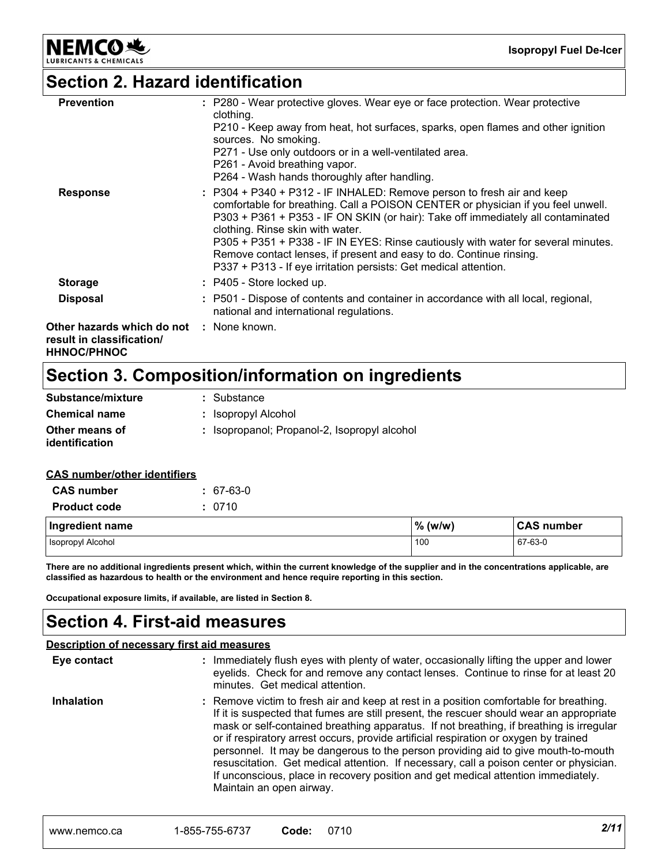**NEMCO头** 

**Isopropyl Fuel De-Icer**

### **Section 2. Hazard identification**

| <b>Prevention</b><br><b>Response</b>                                                               | : P280 - Wear protective gloves. Wear eye or face protection. Wear protective<br>clothing.<br>P210 - Keep away from heat, hot surfaces, sparks, open flames and other ignition<br>sources. No smoking.<br>P271 - Use only outdoors or in a well-ventilated area.<br>P261 - Avoid breathing vapor.<br>P264 - Wash hands thoroughly after handling.<br>: P304 + P340 + P312 - IF INHALED: Remove person to fresh air and keep              |
|----------------------------------------------------------------------------------------------------|------------------------------------------------------------------------------------------------------------------------------------------------------------------------------------------------------------------------------------------------------------------------------------------------------------------------------------------------------------------------------------------------------------------------------------------|
|                                                                                                    | comfortable for breathing. Call a POISON CENTER or physician if you feel unwell.<br>P303 + P361 + P353 - IF ON SKIN (or hair): Take off immediately all contaminated<br>clothing. Rinse skin with water.<br>P305 + P351 + P338 - IF IN EYES: Rinse cautiously with water for several minutes.<br>Remove contact lenses, if present and easy to do. Continue rinsing.<br>P337 + P313 - If eye irritation persists: Get medical attention. |
| <b>Storage</b>                                                                                     | : P405 - Store locked up.                                                                                                                                                                                                                                                                                                                                                                                                                |
| <b>Disposal</b>                                                                                    | : P501 - Dispose of contents and container in accordance with all local, regional,<br>national and international regulations.                                                                                                                                                                                                                                                                                                            |
| <b>Other hazards which do not : None known.</b><br>result in classification/<br><b>HHNOC/PHNOC</b> |                                                                                                                                                                                                                                                                                                                                                                                                                                          |

# **Section 3. Composition/information on ingredients**

| Substance/mixture                | : Substance                                  |
|----------------------------------|----------------------------------------------|
| <b>Chemical name</b>             | : Isopropyl Alcohol                          |
| Other means of<br>identification | : Isopropanol; Propanol-2, Isopropyl alcohol |

#### **CAS number/other identifiers**

| <b>CAS number</b>   | $: 67-63-0$ |           |                   |
|---------------------|-------------|-----------|-------------------|
| <b>Product code</b> | : 0710      |           |                   |
| Ingredient name     |             | $%$ (w/w) | <b>CAS number</b> |
| Isopropyl Alcohol   |             | 100       | 67-63-0           |

**There are no additional ingredients present which, within the current knowledge of the supplier and in the concentrations applicable, are classified as hazardous to health or the environment and hence require reporting in this section.**

**Occupational exposure limits, if available, are listed in Section 8.**

### **Section 4. First-aid measures**

|                   | Description of necessary first aid measures                                                                                                                                                                                                                                                                                                                                                                                                                                                                                                                                                                                                                          |
|-------------------|----------------------------------------------------------------------------------------------------------------------------------------------------------------------------------------------------------------------------------------------------------------------------------------------------------------------------------------------------------------------------------------------------------------------------------------------------------------------------------------------------------------------------------------------------------------------------------------------------------------------------------------------------------------------|
| Eye contact       | : Immediately flush eyes with plenty of water, occasionally lifting the upper and lower<br>eyelids. Check for and remove any contact lenses. Continue to rinse for at least 20<br>minutes. Get medical attention.                                                                                                                                                                                                                                                                                                                                                                                                                                                    |
| <b>Inhalation</b> | : Remove victim to fresh air and keep at rest in a position comfortable for breathing.<br>If it is suspected that fumes are still present, the rescuer should wear an appropriate<br>mask or self-contained breathing apparatus. If not breathing, if breathing is irregular<br>or if respiratory arrest occurs, provide artificial respiration or oxygen by trained<br>personnel. It may be dangerous to the person providing aid to give mouth-to-mouth<br>resuscitation. Get medical attention. If necessary, call a poison center or physician.<br>If unconscious, place in recovery position and get medical attention immediately.<br>Maintain an open airway. |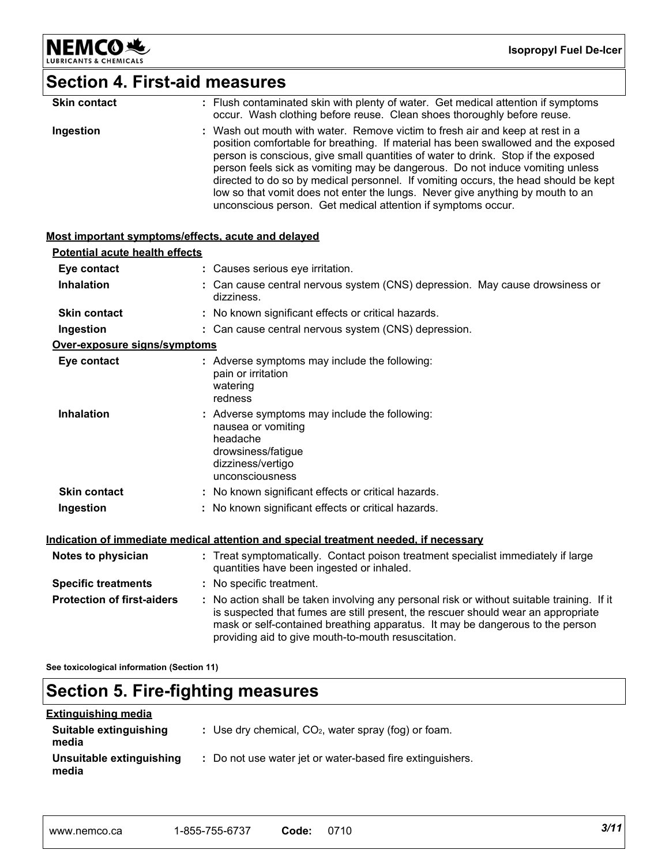

**Isopropyl Fuel De-Icer**

# **Section 4. First-aid measures**

| <b>Skin contact</b> | : Flush contaminated skin with plenty of water. Get medical attention if symptoms<br>occur. Wash clothing before reuse. Clean shoes thoroughly before reuse.                                                                                                                                                                                                                                                                                                                                                                                                                       |
|---------------------|------------------------------------------------------------------------------------------------------------------------------------------------------------------------------------------------------------------------------------------------------------------------------------------------------------------------------------------------------------------------------------------------------------------------------------------------------------------------------------------------------------------------------------------------------------------------------------|
| Ingestion           | : Wash out mouth with water. Remove victim to fresh air and keep at rest in a<br>position comfortable for breathing. If material has been swallowed and the exposed<br>person is conscious, give small quantities of water to drink. Stop if the exposed<br>person feels sick as vomiting may be dangerous. Do not induce vomiting unless<br>directed to do so by medical personnel. If vomiting occurs, the head should be kept<br>low so that vomit does not enter the lungs. Never give anything by mouth to an<br>unconscious person. Get medical attention if symptoms occur. |

#### **Most important symptoms/effects, acute and delayed**

| <b>Potential acute health effects</b> |                                                                                              |                                                                                                                                                                                                                                                                                                                         |  |
|---------------------------------------|----------------------------------------------------------------------------------------------|-------------------------------------------------------------------------------------------------------------------------------------------------------------------------------------------------------------------------------------------------------------------------------------------------------------------------|--|
| Eye contact                           | : Causes serious eye irritation.                                                             |                                                                                                                                                                                                                                                                                                                         |  |
| <b>Inhalation</b>                     | dizziness.                                                                                   | : Can cause central nervous system (CNS) depression. May cause drowsiness or                                                                                                                                                                                                                                            |  |
| <b>Skin contact</b>                   |                                                                                              | : No known significant effects or critical hazards.                                                                                                                                                                                                                                                                     |  |
| Ingestion                             |                                                                                              | : Can cause central nervous system (CNS) depression.                                                                                                                                                                                                                                                                    |  |
| Over-exposure signs/symptoms          |                                                                                              |                                                                                                                                                                                                                                                                                                                         |  |
| Eye contact                           | pain or irritation<br>watering<br>redness                                                    | : Adverse symptoms may include the following:                                                                                                                                                                                                                                                                           |  |
| <b>Inhalation</b>                     | nausea or vomiting<br>headache<br>drowsiness/fatigue<br>dizziness/vertigo<br>unconsciousness | : Adverse symptoms may include the following:                                                                                                                                                                                                                                                                           |  |
| <b>Skin contact</b>                   |                                                                                              | : No known significant effects or critical hazards.                                                                                                                                                                                                                                                                     |  |
| Ingestion                             |                                                                                              | : No known significant effects or critical hazards.                                                                                                                                                                                                                                                                     |  |
|                                       |                                                                                              | Indication of immediate medical attention and special treatment needed, if necessary                                                                                                                                                                                                                                    |  |
| Notes to physician                    |                                                                                              | : Treat symptomatically. Contact poison treatment specialist immediately if large<br>quantities have been ingested or inhaled.                                                                                                                                                                                          |  |
| <b>Specific treatments</b>            | : No specific treatment.                                                                     |                                                                                                                                                                                                                                                                                                                         |  |
| <b>Protection of first-aiders</b>     |                                                                                              | : No action shall be taken involving any personal risk or without suitable training. If it<br>is suspected that fumes are still present, the rescuer should wear an appropriate<br>mask or self-contained breathing apparatus. It may be dangerous to the person<br>providing aid to give mouth-to-mouth resuscitation. |  |

**See toxicological information (Section 11)**

# **Section 5. Fire-fighting measures**

#### **Extinguishing media**

| Suitable extinguishing<br>media   | : Use dry chemical, $CO2$ , water spray (fog) or foam.    |
|-----------------------------------|-----------------------------------------------------------|
| Unsuitable extinguishing<br>media | : Do not use water jet or water-based fire extinguishers. |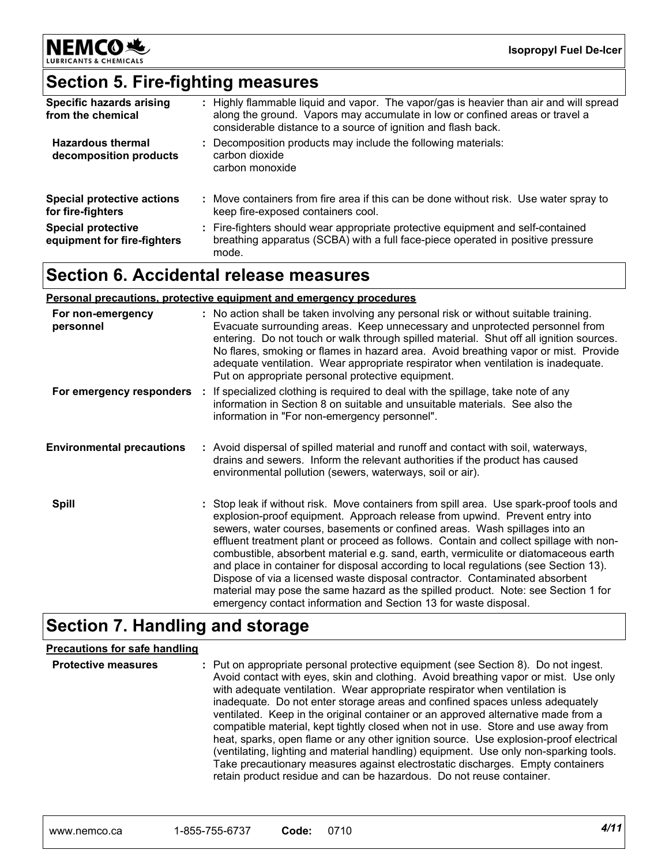

# **Section 5. Fire-fighting measures**

| Specific hazards arising<br>from the chemical            | : Highly flammable liquid and vapor. The vapor/gas is heavier than air and will spread<br>along the ground. Vapors may accumulate in low or confined areas or travel a<br>considerable distance to a source of ignition and flash back. |
|----------------------------------------------------------|-----------------------------------------------------------------------------------------------------------------------------------------------------------------------------------------------------------------------------------------|
| <b>Hazardous thermal</b><br>decomposition products       | : Decomposition products may include the following materials:<br>carbon dioxide<br>carbon monoxide                                                                                                                                      |
| <b>Special protective actions</b><br>for fire-fighters   | : Move containers from fire area if this can be done without risk. Use water spray to<br>keep fire-exposed containers cool.                                                                                                             |
| <b>Special protective</b><br>equipment for fire-fighters | : Fire-fighters should wear appropriate protective equipment and self-contained<br>breathing apparatus (SCBA) with a full face-piece operated in positive pressure<br>mode.                                                             |

### **Section 6. Accidental release measures**

#### **Personal precautions, protective equipment and emergency procedures**

| For non-emergency<br>personnel   | : No action shall be taken involving any personal risk or without suitable training.<br>Evacuate surrounding areas. Keep unnecessary and unprotected personnel from<br>entering. Do not touch or walk through spilled material. Shut off all ignition sources.<br>No flares, smoking or flames in hazard area. Avoid breathing vapor or mist. Provide<br>adequate ventilation. Wear appropriate respirator when ventilation is inadequate.<br>Put on appropriate personal protective equipment.                                                                                                                                                                                                                                                                       |
|----------------------------------|-----------------------------------------------------------------------------------------------------------------------------------------------------------------------------------------------------------------------------------------------------------------------------------------------------------------------------------------------------------------------------------------------------------------------------------------------------------------------------------------------------------------------------------------------------------------------------------------------------------------------------------------------------------------------------------------------------------------------------------------------------------------------|
|                                  | For emergency responders : If specialized clothing is required to deal with the spillage, take note of any<br>information in Section 8 on suitable and unsuitable materials. See also the<br>information in "For non-emergency personnel".                                                                                                                                                                                                                                                                                                                                                                                                                                                                                                                            |
| <b>Environmental precautions</b> | : Avoid dispersal of spilled material and runoff and contact with soil, waterways,<br>drains and sewers. Inform the relevant authorities if the product has caused<br>environmental pollution (sewers, waterways, soil or air).                                                                                                                                                                                                                                                                                                                                                                                                                                                                                                                                       |
| <b>Spill</b>                     | : Stop leak if without risk. Move containers from spill area. Use spark-proof tools and<br>explosion-proof equipment. Approach release from upwind. Prevent entry into<br>sewers, water courses, basements or confined areas. Wash spillages into an<br>effluent treatment plant or proceed as follows. Contain and collect spillage with non-<br>combustible, absorbent material e.g. sand, earth, vermiculite or diatomaceous earth<br>and place in container for disposal according to local regulations (see Section 13).<br>Dispose of via a licensed waste disposal contractor. Contaminated absorbent<br>material may pose the same hazard as the spilled product. Note: see Section 1 for<br>emergency contact information and Section 13 for waste disposal. |

## **Section 7. Handling and storage**

#### **Precautions for safe handling**

| <b>Protective measures</b> | : Put on appropriate personal protective equipment (see Section 8). Do not ingest.<br>Avoid contact with eyes, skin and clothing. Avoid breathing vapor or mist. Use only<br>with adequate ventilation. Wear appropriate respirator when ventilation is<br>inadequate. Do not enter storage areas and confined spaces unless adequately<br>ventilated. Keep in the original container or an approved alternative made from a<br>compatible material, kept tightly closed when not in use. Store and use away from<br>heat, sparks, open flame or any other ignition source. Use explosion-proof electrical<br>(ventilating, lighting and material handling) equipment. Use only non-sparking tools.<br>Take precautionary measures against electrostatic discharges. Empty containers |
|----------------------------|---------------------------------------------------------------------------------------------------------------------------------------------------------------------------------------------------------------------------------------------------------------------------------------------------------------------------------------------------------------------------------------------------------------------------------------------------------------------------------------------------------------------------------------------------------------------------------------------------------------------------------------------------------------------------------------------------------------------------------------------------------------------------------------|
|                            | retain product residue and can be hazardous. Do not reuse container.                                                                                                                                                                                                                                                                                                                                                                                                                                                                                                                                                                                                                                                                                                                  |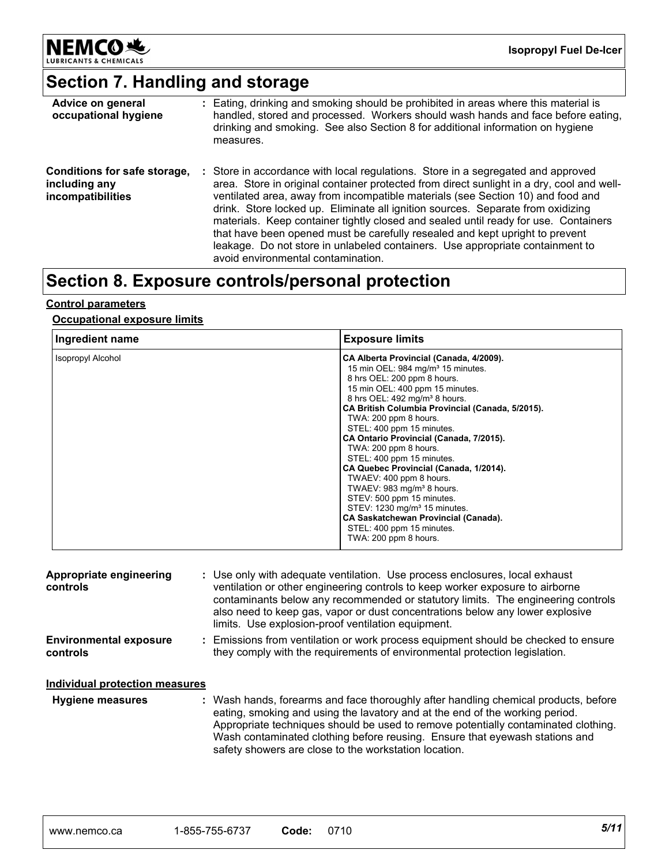

# **Section 7. Handling and storage**

| Advice on general<br>occupational hygiene                          | : Eating, drinking and smoking should be prohibited in areas where this material is<br>handled, stored and processed. Workers should wash hands and face before eating,<br>drinking and smoking. See also Section 8 for additional information on hygiene<br>measures.                                                                                                                                                                                                                                                                                                                                                                            |
|--------------------------------------------------------------------|---------------------------------------------------------------------------------------------------------------------------------------------------------------------------------------------------------------------------------------------------------------------------------------------------------------------------------------------------------------------------------------------------------------------------------------------------------------------------------------------------------------------------------------------------------------------------------------------------------------------------------------------------|
| Conditions for safe storage,<br>including any<br>incompatibilities | : Store in accordance with local regulations. Store in a segregated and approved<br>area. Store in original container protected from direct sunlight in a dry, cool and well-<br>ventilated area, away from incompatible materials (see Section 10) and food and<br>drink. Store locked up. Eliminate all ignition sources. Separate from oxidizing<br>materials. Keep container tightly closed and sealed until ready for use. Containers<br>that have been opened must be carefully resealed and kept upright to prevent<br>leakage. Do not store in unlabeled containers. Use appropriate containment to<br>avoid environmental contamination. |

### **Section 8. Exposure controls/personal protection**

#### **Control parameters**

#### **Occupational exposure limits**

| Ingredient name          | <b>Exposure limits</b>                                                                                                                                                                                                                                                                                                                                                                                                                                                                                                                                                                                                                                                                                  |
|--------------------------|---------------------------------------------------------------------------------------------------------------------------------------------------------------------------------------------------------------------------------------------------------------------------------------------------------------------------------------------------------------------------------------------------------------------------------------------------------------------------------------------------------------------------------------------------------------------------------------------------------------------------------------------------------------------------------------------------------|
| <b>Isopropyl Alcohol</b> | CA Alberta Provincial (Canada, 4/2009).<br>15 min OEL: 984 mg/m <sup>3</sup> 15 minutes.<br>8 hrs OEL: 200 ppm 8 hours.<br>15 min OEL: 400 ppm 15 minutes.<br>8 hrs OEL: 492 mg/m <sup>3</sup> 8 hours.<br>CA British Columbia Provincial (Canada, 5/2015).<br>TWA: 200 ppm 8 hours.<br>STEL: 400 ppm 15 minutes.<br>CA Ontario Provincial (Canada, 7/2015).<br>TWA: 200 ppm 8 hours.<br>STEL: 400 ppm 15 minutes.<br>CA Quebec Provincial (Canada, 1/2014).<br>TWAEV: 400 ppm 8 hours.<br>TWAEV: 983 mg/m <sup>3</sup> 8 hours.<br>STEV: 500 ppm 15 minutes.<br>STEV: 1230 mg/m <sup>3</sup> 15 minutes.<br>CA Saskatchewan Provincial (Canada).<br>STEL: 400 ppm 15 minutes.<br>TWA: 200 ppm 8 hours. |

| Appropriate engineering<br>controls       | : Use only with adequate ventilation. Use process enclosures, local exhaust<br>ventilation or other engineering controls to keep worker exposure to airborne<br>contaminants below any recommended or statutory limits. The engineering controls<br>also need to keep gas, vapor or dust concentrations below any lower explosive<br>limits. Use explosion-proof ventilation equipment.           |
|-------------------------------------------|---------------------------------------------------------------------------------------------------------------------------------------------------------------------------------------------------------------------------------------------------------------------------------------------------------------------------------------------------------------------------------------------------|
| <b>Environmental exposure</b><br>controls | : Emissions from ventilation or work process equipment should be checked to ensure<br>they comply with the requirements of environmental protection legislation.                                                                                                                                                                                                                                  |
| Individual protection measures            |                                                                                                                                                                                                                                                                                                                                                                                                   |
| <b>Hygiene measures</b>                   | : Wash hands, forearms and face thoroughly after handling chemical products, before<br>eating, smoking and using the lavatory and at the end of the working period.<br>Appropriate techniques should be used to remove potentially contaminated clothing.<br>Wash contaminated clothing before reusing. Ensure that eyewash stations and<br>safety showers are close to the workstation location. |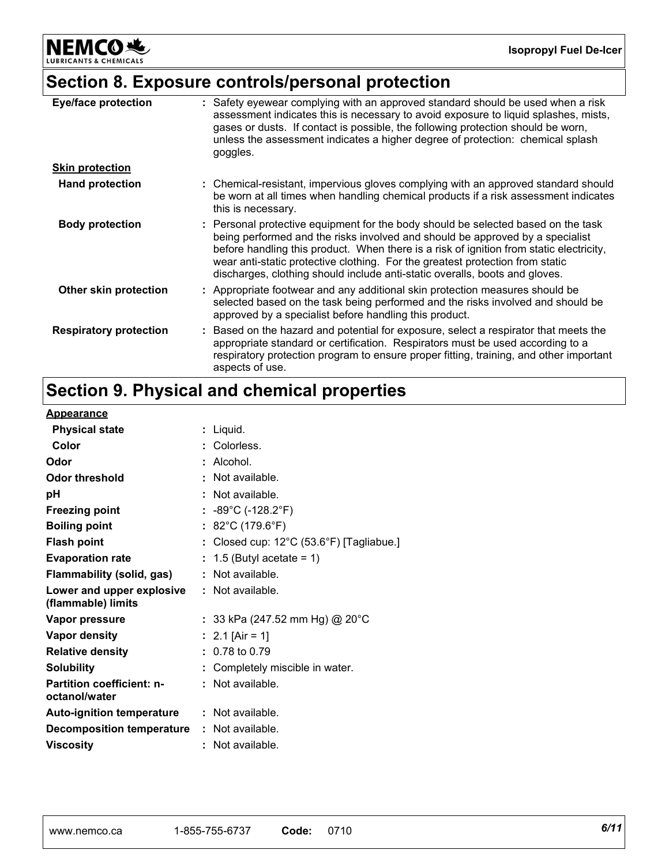NEMCO<sup>N</sup>

# **Section 8. Exposure controls/personal protection**

| <b>Eye/face protection</b>    | : Safety eyewear complying with an approved standard should be used when a risk<br>assessment indicates this is necessary to avoid exposure to liquid splashes, mists,<br>gases or dusts. If contact is possible, the following protection should be worn,<br>unless the assessment indicates a higher degree of protection: chemical splash<br>goggles.                                                                      |
|-------------------------------|-------------------------------------------------------------------------------------------------------------------------------------------------------------------------------------------------------------------------------------------------------------------------------------------------------------------------------------------------------------------------------------------------------------------------------|
| <b>Skin protection</b>        |                                                                                                                                                                                                                                                                                                                                                                                                                               |
| <b>Hand protection</b>        | : Chemical-resistant, impervious gloves complying with an approved standard should<br>be worn at all times when handling chemical products if a risk assessment indicates<br>this is necessary.                                                                                                                                                                                                                               |
| <b>Body protection</b>        | : Personal protective equipment for the body should be selected based on the task<br>being performed and the risks involved and should be approved by a specialist<br>before handling this product. When there is a risk of ignition from static electricity,<br>wear anti-static protective clothing. For the greatest protection from static<br>discharges, clothing should include anti-static overalls, boots and gloves. |
| Other skin protection         | : Appropriate footwear and any additional skin protection measures should be<br>selected based on the task being performed and the risks involved and should be<br>approved by a specialist before handling this product.                                                                                                                                                                                                     |
| <b>Respiratory protection</b> | : Based on the hazard and potential for exposure, select a respirator that meets the<br>appropriate standard or certification. Respirators must be used according to a<br>respiratory protection program to ensure proper fitting, training, and other important<br>aspects of use.                                                                                                                                           |

# **Section 9. Physical and chemical properties**

#### **Appearance**

| <u>Appearance</u>                                 |                                                    |
|---------------------------------------------------|----------------------------------------------------|
| <b>Physical state</b>                             | : Liquid.                                          |
| Color                                             | : Colorless.                                       |
| Odor                                              | $:$ Alcohol.                                       |
| Odor threshold                                    | : Not available.                                   |
| рH                                                | : Not available.                                   |
| <b>Freezing point</b>                             | : $-89^{\circ}$ C (-128.2°F)                       |
| <b>Boiling point</b>                              | : 82°C (179.6°F)                                   |
| <b>Flash point</b>                                | : Closed cup: $12^{\circ}$ C (53.6°F) [Tagliabue.] |
| <b>Evaporation rate</b>                           | $: 1.5$ (Butyl acetate = 1)                        |
| Flammability (solid, gas)                         | $\therefore$ Not available.                        |
| Lower and upper explosive<br>(flammable) limits   | : Not available.                                   |
| Vapor pressure                                    | : 33 kPa (247.52 mm Hg) @ 20°C                     |
| Vapor density                                     | : 2.1 [Air = 1]                                    |
| <b>Relative density</b>                           | $: 0.78$ to 0.79                                   |
| <b>Solubility</b>                                 | : Completely miscible in water.                    |
| <b>Partition coefficient: n-</b><br>octanol/water | $:$ Not available.                                 |
| <b>Auto-ignition temperature</b>                  | : Not available.                                   |
| <b>Decomposition temperature</b>                  | : Not available.                                   |
| <b>Viscosity</b>                                  | : Not available.                                   |
|                                                   |                                                    |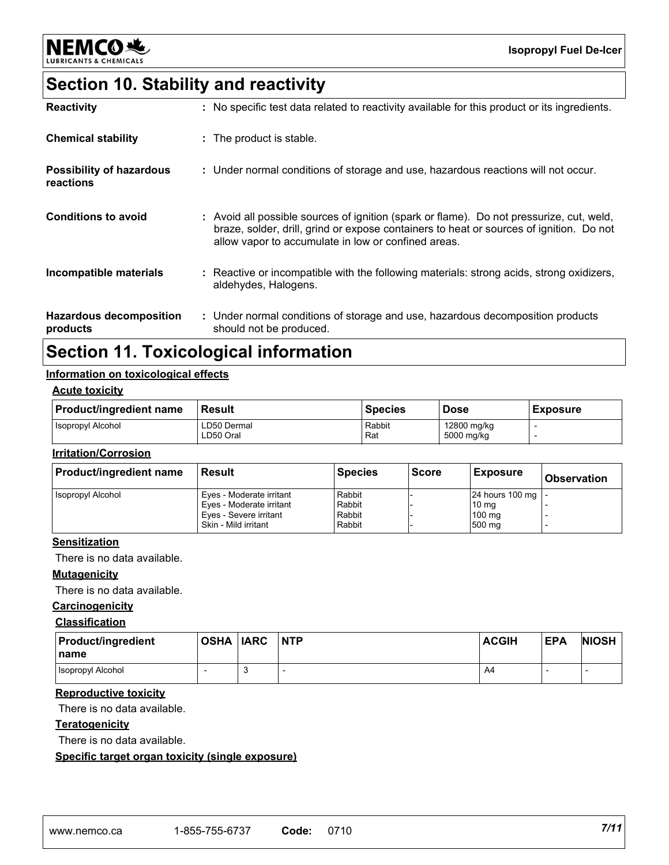

# **Section 10. Stability and reactivity**

| <b>Reactivity</b>                            | : No specific test data related to reactivity available for this product or its ingredients.                                                                                                                                               |
|----------------------------------------------|--------------------------------------------------------------------------------------------------------------------------------------------------------------------------------------------------------------------------------------------|
| <b>Chemical stability</b>                    | : The product is stable.                                                                                                                                                                                                                   |
| <b>Possibility of hazardous</b><br>reactions | : Under normal conditions of storage and use, hazardous reactions will not occur.                                                                                                                                                          |
| <b>Conditions to avoid</b>                   | : Avoid all possible sources of ignition (spark or flame). Do not pressurize, cut, weld,<br>braze, solder, drill, grind or expose containers to heat or sources of ignition. Do not<br>allow vapor to accumulate in low or confined areas. |
| Incompatible materials                       | : Reactive or incompatible with the following materials: strong acids, strong oxidizers,<br>aldehydes, Halogens.                                                                                                                           |
| <b>Hazardous decomposition</b><br>products   | : Under normal conditions of storage and use, hazardous decomposition products<br>should not be produced.                                                                                                                                  |

### **Section 11. Toxicological information**

#### **Information on toxicological effects**

#### **Acute toxicity**

| <b>Product/ingredient name</b> | 'Result                  | <b>Species</b>       | <b>Dose</b>               | Exposure |
|--------------------------------|--------------------------|----------------------|---------------------------|----------|
| <b>Isopropyl Alcohol</b>       | LD50 Dermal<br>LD50 Oral | Rabbit<br><b>Rat</b> | 12800 mg/kg<br>5000 mg/kg |          |

#### **Irritation/Corrosion**

| <b>Product/ingredient name</b> | Result                                                                                                 | <b>Species</b>                       | <b>Score</b> | <b>Exposure</b>                                                       | <b>Observation</b> |
|--------------------------------|--------------------------------------------------------------------------------------------------------|--------------------------------------|--------------|-----------------------------------------------------------------------|--------------------|
| <b>Isopropyl Alcohol</b>       | Eyes - Moderate irritant<br>Eyes - Moderate irritant<br>Eyes - Severe irritant<br>Skin - Mild irritant | Rabbit<br>Rabbit<br>Rabbit<br>Rabbit |              | 24 hours 100 mg   -<br>10 <sub>mg</sub><br>$100 \text{ mg}$<br>500 mg |                    |

#### **Sensitization**

There is no data available.

#### **Mutagenicity**

There is no data available.

#### **Carcinogenicity**

#### **Classification**

| <b>Product/ingredient</b><br><b>Iname</b> | <b>OSHA IARC</b> | <b>NTP</b> | <b>ACGIH</b> | <b>EPA</b> | <b>NIOSH</b> |
|-------------------------------------------|------------------|------------|--------------|------------|--------------|
| <b>Isopropyl Alcohol</b>                  |                  |            | A4           |            |              |

#### **Reproductive toxicity**

There is no data available.

#### **Teratogenicity**

There is no data available.

#### **Specific target organ toxicity (single exposure)**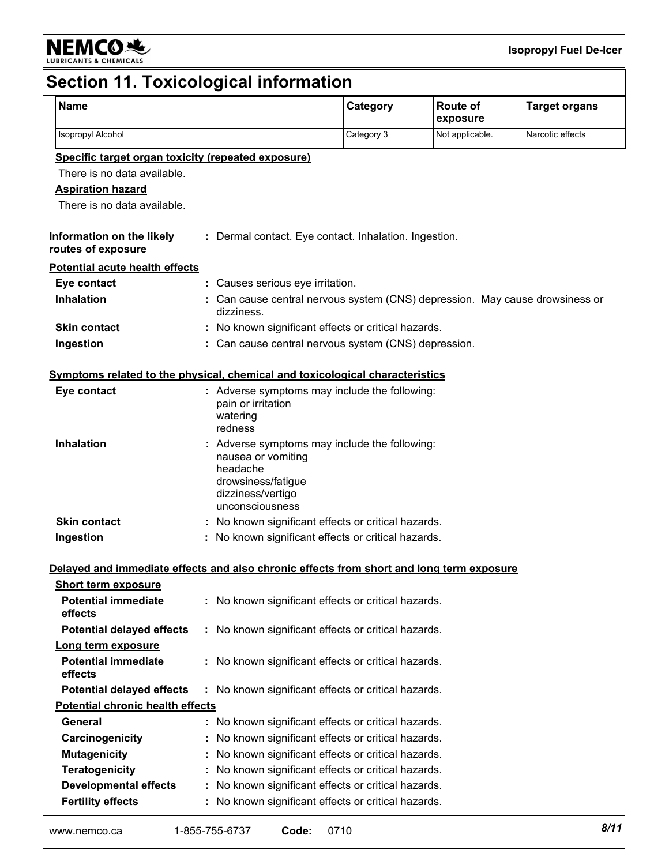

# **Section 11. Toxicological information**

| <b>Name</b>                                                                              |                                                                                              | Category                                                                   | <b>Route of</b><br>exposure | <b>Target organs</b> |
|------------------------------------------------------------------------------------------|----------------------------------------------------------------------------------------------|----------------------------------------------------------------------------|-----------------------------|----------------------|
| Isopropyl Alcohol                                                                        |                                                                                              | Category 3                                                                 | Not applicable.             | Narcotic effects     |
| Specific target organ toxicity (repeated exposure)                                       |                                                                                              |                                                                            |                             |                      |
| There is no data available.                                                              |                                                                                              |                                                                            |                             |                      |
| <b>Aspiration hazard</b>                                                                 |                                                                                              |                                                                            |                             |                      |
| There is no data available.                                                              |                                                                                              |                                                                            |                             |                      |
| Information on the likely<br>routes of exposure                                          |                                                                                              | : Dermal contact. Eye contact. Inhalation. Ingestion.                      |                             |                      |
| <b>Potential acute health effects</b>                                                    |                                                                                              |                                                                            |                             |                      |
| Eye contact                                                                              | : Causes serious eye irritation.                                                             |                                                                            |                             |                      |
| <b>Inhalation</b>                                                                        | dizziness.                                                                                   | Can cause central nervous system (CNS) depression. May cause drowsiness or |                             |                      |
| <b>Skin contact</b>                                                                      |                                                                                              | : No known significant effects or critical hazards.                        |                             |                      |
| Ingestion                                                                                |                                                                                              | Can cause central nervous system (CNS) depression.                         |                             |                      |
| <u>Symptoms related to the physical, chemical and toxicological characteristics</u>      |                                                                                              |                                                                            |                             |                      |
| Eye contact                                                                              | pain or irritation<br>watering<br>redness                                                    | : Adverse symptoms may include the following:                              |                             |                      |
| <b>Inhalation</b>                                                                        | nausea or vomiting<br>headache<br>drowsiness/fatigue<br>dizziness/vertigo<br>unconsciousness | : Adverse symptoms may include the following:                              |                             |                      |
| <b>Skin contact</b>                                                                      |                                                                                              | : No known significant effects or critical hazards.                        |                             |                      |
| Ingestion                                                                                |                                                                                              | : No known significant effects or critical hazards.                        |                             |                      |
| Delayed and immediate effects and also chronic effects from short and long term exposure |                                                                                              |                                                                            |                             |                      |
| <b>Short term exposure</b>                                                               |                                                                                              |                                                                            |                             |                      |
| <b>Potential immediate</b><br>effects                                                    |                                                                                              | No known significant effects or critical hazards.                          |                             |                      |
| <b>Potential delayed effects</b>                                                         |                                                                                              | : No known significant effects or critical hazards.                        |                             |                      |
| Long term exposure                                                                       |                                                                                              |                                                                            |                             |                      |
| <b>Potential immediate</b><br>effects                                                    |                                                                                              | No known significant effects or critical hazards.                          |                             |                      |
| <b>Potential delayed effects</b>                                                         |                                                                                              | : No known significant effects or critical hazards.                        |                             |                      |
| <b>Potential chronic health effects</b>                                                  |                                                                                              |                                                                            |                             |                      |
| General                                                                                  |                                                                                              | : No known significant effects or critical hazards.                        |                             |                      |
| Carcinogenicity                                                                          |                                                                                              | No known significant effects or critical hazards.                          |                             |                      |
| <b>Mutagenicity</b>                                                                      |                                                                                              | No known significant effects or critical hazards.                          |                             |                      |
| <b>Teratogenicity</b>                                                                    |                                                                                              | No known significant effects or critical hazards.                          |                             |                      |
| <b>Developmental effects</b>                                                             |                                                                                              | No known significant effects or critical hazards.                          |                             |                      |
| <b>Fertility effects</b>                                                                 |                                                                                              | No known significant effects or critical hazards.                          |                             |                      |
| www.nemco.ca                                                                             | 1-855-755-6737<br>Code:                                                                      | 0710                                                                       |                             | 8/11                 |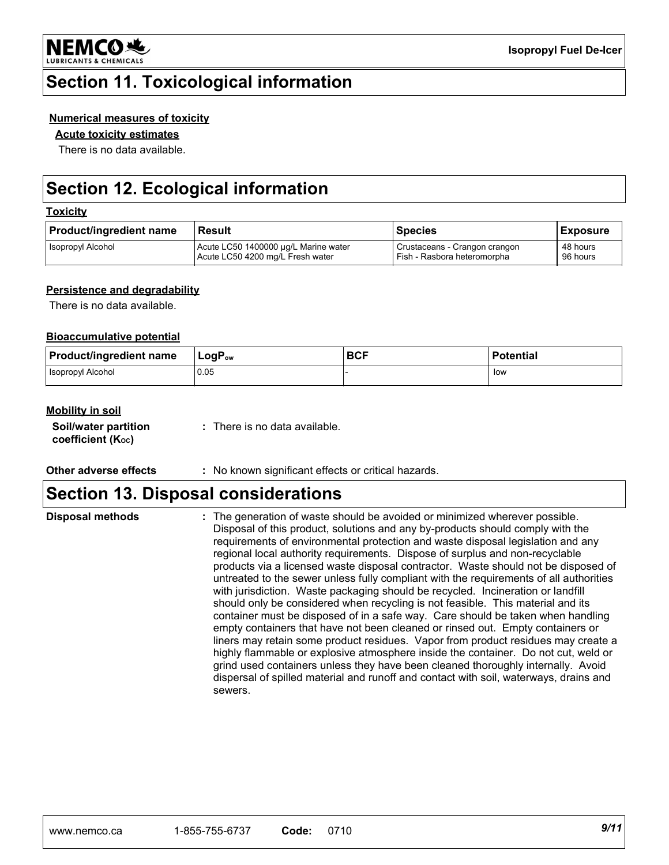

### **Section 11. Toxicological information**

#### **Numerical measures of toxicity**

#### **Acute toxicity estimates**

There is no data available.

# **Section 12. Ecological information**

#### **Toxicity**

| <b>Product/ingredient name</b> | Result                               | Species                       | Exposure |
|--------------------------------|--------------------------------------|-------------------------------|----------|
| <b>Isopropyl Alcohol</b>       | Acute LC50 1400000 µg/L Marine water | Crustaceans - Crangon crangon | 48 hours |
|                                | Acute LC50 4200 mg/L Fresh water     | Fish - Rasbora heteromorpha   | 96 hours |

#### **Persistence and degradability**

There is no data available.

#### **Bioaccumulative potential**

| <b>Product/ingredient name</b> | $LogP_{ow}$ | <b>BCF</b> | <b>Potential</b> |
|--------------------------------|-------------|------------|------------------|
| <b>Isopropyl Alcohol</b>       | 0.05        |            | low              |

#### **Mobility in soil**

| Soil/water partition           |  |
|--------------------------------|--|
| coefficient (K <sub>oc</sub> ) |  |

**:** There is no data available.

**Other adverse effects :** No known significant effects or critical hazards.

### **Section 13. Disposal considerations**

The generation of waste should be avoided or minimized wherever possible. Disposal of this product, solutions and any by-products should comply with the requirements of environmental protection and waste disposal legislation and any regional local authority requirements. Dispose of surplus and non-recyclable products via a licensed waste disposal contractor. Waste should not be disposed of untreated to the sewer unless fully compliant with the requirements of all authorities with jurisdiction. Waste packaging should be recycled. Incineration or landfill should only be considered when recycling is not feasible. This material and its container must be disposed of in a safe way. Care should be taken when handling empty containers that have not been cleaned or rinsed out. Empty containers or liners may retain some product residues. Vapor from product residues may create a highly flammable or explosive atmosphere inside the container. Do not cut, weld or grind used containers unless they have been cleaned thoroughly internally. Avoid dispersal of spilled material and runoff and contact with soil, waterways, drains and sewers.

**Disposal methods :**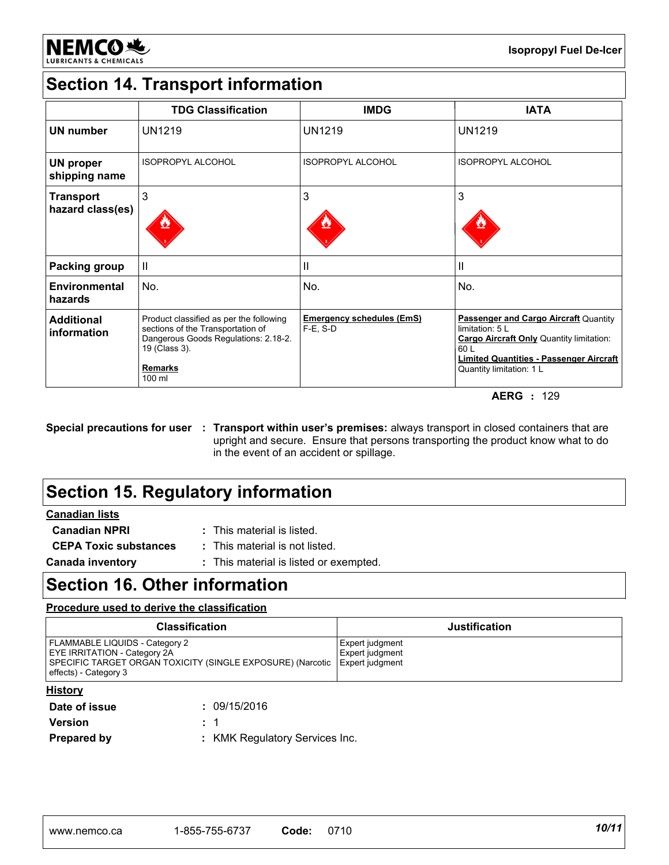

# **Section 14. Transport information**

|                                      | <b>TDG Classification</b>                                                                                                                                         | <b>IMDG</b>                                     | <b>IATA</b>                                                                                                                                                                                                |
|--------------------------------------|-------------------------------------------------------------------------------------------------------------------------------------------------------------------|-------------------------------------------------|------------------------------------------------------------------------------------------------------------------------------------------------------------------------------------------------------------|
| UN number                            | <b>UN1219</b>                                                                                                                                                     | <b>UN1219</b>                                   | <b>UN1219</b>                                                                                                                                                                                              |
| <b>UN proper</b><br>shipping name    | <b>ISOPROPYL ALCOHOL</b>                                                                                                                                          | <b>ISOPROPYL ALCOHOL</b>                        | <b>ISOPROPYL ALCOHOL</b>                                                                                                                                                                                   |
| <b>Transport</b><br>hazard class(es) | 3                                                                                                                                                                 | 3                                               | 3                                                                                                                                                                                                          |
| <b>Packing group</b>                 | $\mathbf{  }$                                                                                                                                                     | $\mathbf{I}$                                    | $\mathbf{I}$                                                                                                                                                                                               |
| Environmental<br>hazards             | No.                                                                                                                                                               | No.                                             | No.                                                                                                                                                                                                        |
| <b>Additional</b><br>information     | Product classified as per the following<br>sections of the Transportation of<br>Dangerous Goods Regulations: 2.18-2.<br>19 (Class 3).<br><b>Remarks</b><br>100 ml | <b>Emergency schedules (EmS)</b><br>$F-E$ , S-D | <b>Passenger and Cargo Aircraft Quantity</b><br>limitation: $5 L$<br><b>Cargo Aircraft Only Quantity limitation:</b><br>60 L<br><b>Limited Quantities - Passenger Aircraft</b><br>Quantity limitation: 1 L |

**AERG :** 129

#### **Special precautions for user : Transport within user's premises:** always transport in closed containers that are upright and secure. Ensure that persons transporting the product know what to do in the event of an accident or spillage.

# **Section 15. Regulatory information**

#### **Canadian lists**

| <b>Canadian NPRI</b>         | : This material is listed.             |
|------------------------------|----------------------------------------|
| <b>CEPA Toxic substances</b> | : This material is not listed.         |
| <b>Canada inventory</b>      | : This material is listed or exempted. |

### **Section 16. Other information**

#### **Procedure used to derive the classification**

| <b>Classification</b>                                                                                                                                                          | <b>Justification</b>               |
|--------------------------------------------------------------------------------------------------------------------------------------------------------------------------------|------------------------------------|
| <b>FLAMMABLE LIQUIDS - Category 2</b><br>EYE IRRITATION - Category 2A<br>SPECIFIC TARGET ORGAN TOXICITY (SINGLE EXPOSURE) (Narcotic   Expert judgment<br>effects) - Category 3 | Expert judgment<br>Expert judgment |

#### **History**

| _____<br>Date of issue | : 09/15/2016                   |
|------------------------|--------------------------------|
| Version                | $\therefore$ 1                 |
| <b>Prepared by</b>     | : KMK Regulatory Services Inc. |